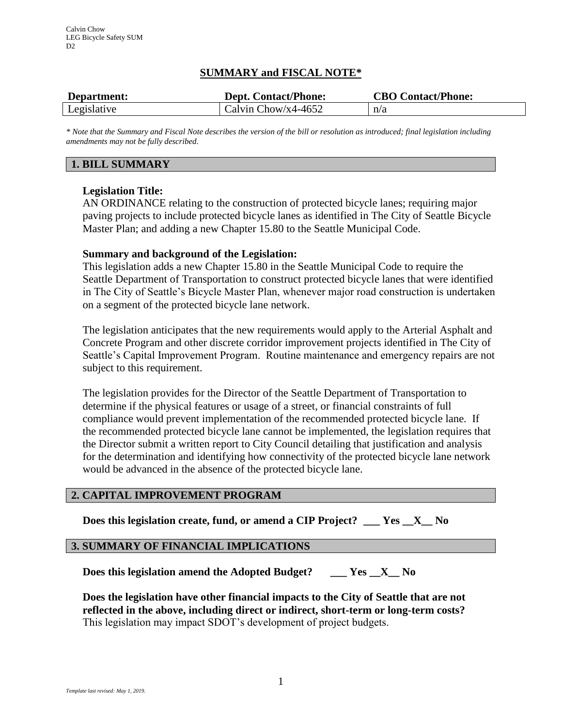# **SUMMARY and FISCAL NOTE\***

| Department: | <b>Dept. Contact/Phone:</b> | <b>CBO Contact/Phone:</b> |
|-------------|-----------------------------|---------------------------|
| Legislative | Calvin Chow/x4-4652         | n/a                       |

*\* Note that the Summary and Fiscal Note describes the version of the bill or resolution as introduced; final legislation including amendments may not be fully described.*

# **1. BILL SUMMARY**

# **Legislation Title:**

AN ORDINANCE relating to the construction of protected bicycle lanes; requiring major paving projects to include protected bicycle lanes as identified in The City of Seattle Bicycle Master Plan; and adding a new Chapter 15.80 to the Seattle Municipal Code.

### **Summary and background of the Legislation:**

This legislation adds a new Chapter 15.80 in the Seattle Municipal Code to require the Seattle Department of Transportation to construct protected bicycle lanes that were identified in The City of Seattle's Bicycle Master Plan, whenever major road construction is undertaken on a segment of the protected bicycle lane network.

The legislation anticipates that the new requirements would apply to the Arterial Asphalt and Concrete Program and other discrete corridor improvement projects identified in The City of Seattle's Capital Improvement Program. Routine maintenance and emergency repairs are not subject to this requirement.

The legislation provides for the Director of the Seattle Department of Transportation to determine if the physical features or usage of a street, or financial constraints of full compliance would prevent implementation of the recommended protected bicycle lane. If the recommended protected bicycle lane cannot be implemented, the legislation requires that the Director submit a written report to City Council detailing that justification and analysis for the determination and identifying how connectivity of the protected bicycle lane network would be advanced in the absence of the protected bicycle lane.

### **2. CAPITAL IMPROVEMENT PROGRAM**

**Does this legislation create, fund, or amend a CIP Project? \_\_\_ Yes \_\_X\_\_ No**

#### **3. SUMMARY OF FINANCIAL IMPLICATIONS**

**Does this legislation amend the Adopted Budget? \_\_\_ Yes \_\_X\_\_ No**

**Does the legislation have other financial impacts to the City of Seattle that are not reflected in the above, including direct or indirect, short-term or long-term costs?** This legislation may impact SDOT's development of project budgets.